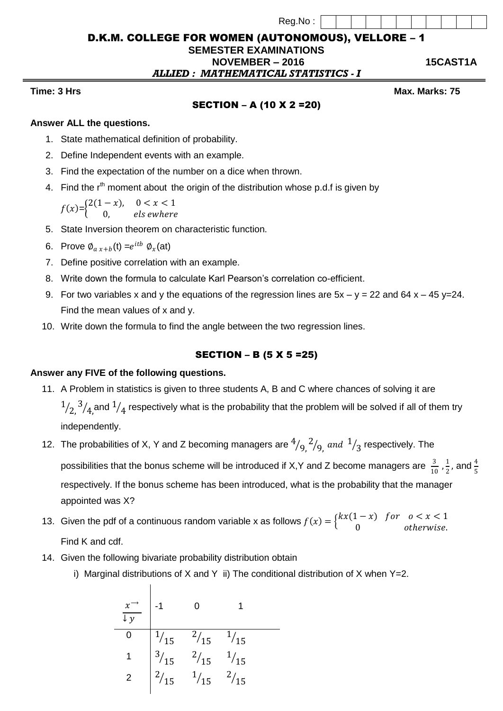| Reg.No : |  |
|----------|--|
|          |  |

## D.K.M. COLLEGE FOR WOMEN (AUTONOMOUS), VELLORE – 1

# **SEMESTER EXAMINATIONS**

 **NOVEMBER – 2016 15CAST1A** *ALLIED : MATHEMATICAL STATISTICS - I*

**Time: 3** Hrs Max. Marks: 75

## SECTION – A (10 X 2 =20)

## **Answer ALL the questions.**

- 1. State mathematical definition of probability.
- 2. Define Independent events with an example.
- 3. Find the expectation of the number on a dice when thrown.
- 4. Find the  $r<sup>th</sup>$  moment about the origin of the distribution whose p.d.f is given by

 $f(x) = \begin{cases} 2(1-x), & 0 < x < 1 \\ 0 & \text{else with any } \end{cases}$ 0, els ewhere

- 5. State Inversion theorem on characteristic function.
- 6. Prove  $\phi_{a\ x+b}(\mathsf{t})=e^{itb}\ \phi_{x}(\mathsf{at})$
- 7. Define positive correlation with an example.
- 8. Write down the formula to calculate Karl Pearson's correlation co-efficient.
- 9. For two variables x and y the equations of the regression lines are  $5x y = 22$  and  $64x 45y = 24$ . Find the mean values of x and y.
- 10. Write down the formula to find the angle between the two regression lines.

## SECTION – B (5 X 5 =25)

#### **Answer any FIVE of the following questions.**

- 11. A Problem in statistics is given to three students A, B and C where chances of solving it are 1  $\sqrt{2}^3$  $\mathcal{A}_4$ and  $^1\mathcal{A}_4$  respectively what is the probability that the problem will be solved if all of them try independently.
- 12. The probabilities of X, Y and Z becoming managers are  $\frac{4}{9}$ ,  $\frac{2}{9}$  $\gamma_{9,}$  and  $^{1}$  $\sqrt{3}$  respectively. The possibilities that the bonus scheme will be introduced if X,Y and Z become managers are  $\frac{3}{10}$  $\frac{3}{10}$ ,  $\frac{1}{2}$  $\frac{1}{2}$ , and  $\frac{4}{5}$ respectively. If the bonus scheme has been introduced, what is the probability that the manager appointed was X?
- 13. Given the pdf of a continuous random variable x as follows  $f(x) = \begin{cases} kx(1-x) \\ 0 \end{cases}$ 0 for  $0 < x < 1$ otherwise. Find K and cdf.
- 14. Given the following bivariate probability distribution obtain
	- i) Marginal distributions of X and Y ii) The conditional distribution of X when  $Y=2$ .